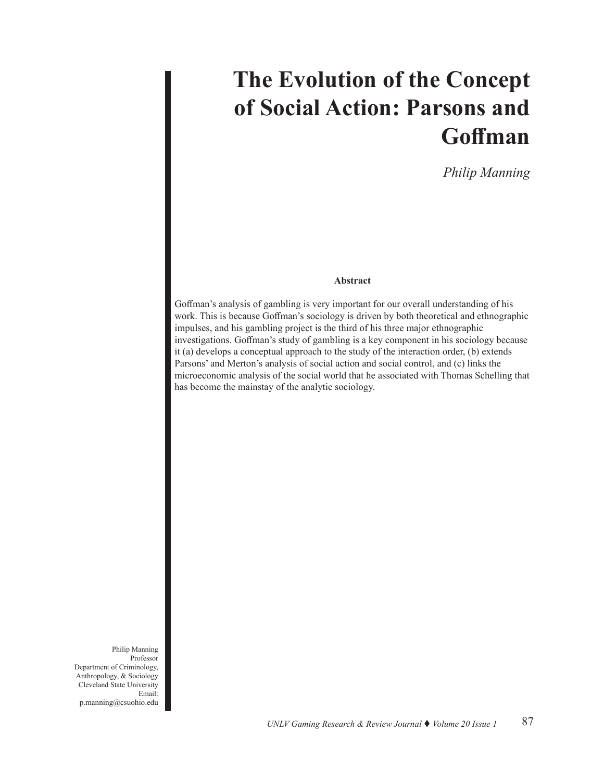# **The Evolution of the Concept of Social Action: Parsons and Goffman**

*Philip Manning*

## **Abstract**

Goffman's analysis of gambling is very important for our overall understanding of his work. This is because Goffman's sociology is driven by both theoretical and ethnographic impulses, and his gambling project is the third of his three major ethnographic investigations. Goffman's study of gambling is a key component in his sociology because it (a) develops a conceptual approach to the study of the interaction order, (b) extends Parsons' and Merton's analysis of social action and social control, and (c) links the microeconomic analysis of the social world that he associated with Thomas Schelling that has become the mainstay of the analytic sociology.

Philip Manning Professor Department of Criminology, Anthropology, & Sociology Cleveland State University Email: p.manning@csuohio.edu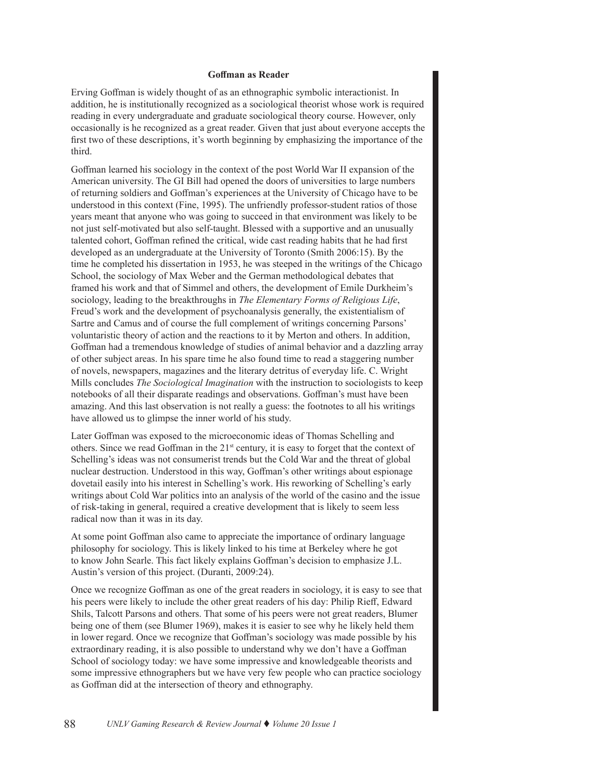#### **Goffman as Reader**

Erving Goffman is widely thought of as an ethnographic symbolic interactionist. In addition, he is institutionally recognized as a sociological theorist whose work is required reading in every undergraduate and graduate sociological theory course. However, only occasionally is he recognized as a great reader. Given that just about everyone accepts the first two of these descriptions, it's worth beginning by emphasizing the importance of the third.

Goffman learned his sociology in the context of the post World War II expansion of the American university. The GI Bill had opened the doors of universities to large numbers of returning soldiers and Goffman's experiences at the University of Chicago have to be understood in this context (Fine, 1995). The unfriendly professor-student ratios of those years meant that anyone who was going to succeed in that environment was likely to be not just self-motivated but also self-taught. Blessed with a supportive and an unusually talented cohort, Goffman refined the critical, wide cast reading habits that he had first developed as an undergraduate at the University of Toronto (Smith 2006:15). By the time he completed his dissertation in 1953, he was steeped in the writings of the Chicago School, the sociology of Max Weber and the German methodological debates that framed his work and that of Simmel and others, the development of Emile Durkheim's sociology, leading to the breakthroughs in *The Elementary Forms of Religious Life*, Freud's work and the development of psychoanalysis generally, the existentialism of Sartre and Camus and of course the full complement of writings concerning Parsons' voluntaristic theory of action and the reactions to it by Merton and others. In addition, Goffman had a tremendous knowledge of studies of animal behavior and a dazzling array of other subject areas. In his spare time he also found time to read a staggering number of novels, newspapers, magazines and the literary detritus of everyday life. C. Wright Mills concludes *The Sociological Imagination* with the instruction to sociologists to keep notebooks of all their disparate readings and observations. Goffman's must have been amazing. And this last observation is not really a guess: the footnotes to all his writings have allowed us to glimpse the inner world of his study.

Later Goffman was exposed to the microeconomic ideas of Thomas Schelling and others. Since we read Goffman in the  $21<sup>st</sup>$  century, it is easy to forget that the context of Schelling's ideas was not consumerist trends but the Cold War and the threat of global nuclear destruction. Understood in this way, Goffman's other writings about espionage dovetail easily into his interest in Schelling's work. His reworking of Schelling's early writings about Cold War politics into an analysis of the world of the casino and the issue of risk-taking in general, required a creative development that is likely to seem less radical now than it was in its day.

At some point Goffman also came to appreciate the importance of ordinary language philosophy for sociology. This is likely linked to his time at Berkeley where he got to know John Searle. This fact likely explains Goffman's decision to emphasize J.L. Austin's version of this project. (Duranti, 2009:24).

Once we recognize Goffman as one of the great readers in sociology, it is easy to see that his peers were likely to include the other great readers of his day: Philip Rieff, Edward Shils, Talcott Parsons and others. That some of his peers were not great readers, Blumer being one of them (see Blumer 1969), makes it is easier to see why he likely held them in lower regard. Once we recognize that Goffman's sociology was made possible by his extraordinary reading, it is also possible to understand why we don't have a Goffman School of sociology today: we have some impressive and knowledgeable theorists and some impressive ethnographers but we have very few people who can practice sociology as Goffman did at the intersection of theory and ethnography.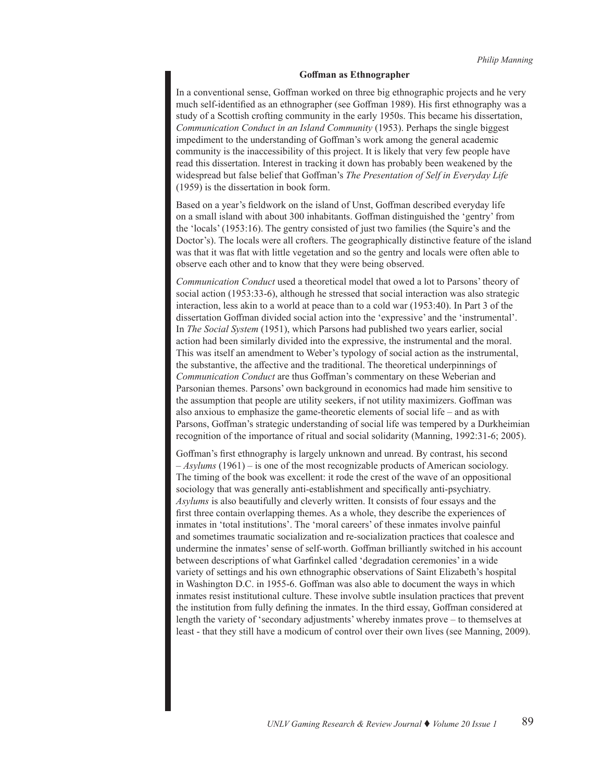#### **Goffman as Ethnographer**

In a conventional sense, Goffman worked on three big ethnographic projects and he very much self-identified as an ethnographer (see Goffman 1989). His first ethnography was a study of a Scottish crofting community in the early 1950s. This became his dissertation, *Communication Conduct in an Island Community* (1953). Perhaps the single biggest impediment to the understanding of Goffman's work among the general academic community is the inaccessibility of this project. It is likely that very few people have read this dissertation. Interest in tracking it down has probably been weakened by the widespread but false belief that Goffman's *The Presentation of Self in Everyday Life*  (1959) is the dissertation in book form.

Based on a year's fieldwork on the island of Unst, Goffman described everyday life on a small island with about 300 inhabitants. Goffman distinguished the 'gentry' from the 'locals' (1953:16). The gentry consisted of just two families (the Squire's and the Doctor's). The locals were all crofters. The geographically distinctive feature of the island was that it was flat with little vegetation and so the gentry and locals were often able to observe each other and to know that they were being observed.

*Communication Conduct* used a theoretical model that owed a lot to Parsons' theory of social action (1953:33-6), although he stressed that social interaction was also strategic interaction, less akin to a world at peace than to a cold war (1953:40). In Part 3 of the dissertation Goffman divided social action into the 'expressive' and the 'instrumental'. In *The Social System* (1951), which Parsons had published two years earlier, social action had been similarly divided into the expressive, the instrumental and the moral. This was itself an amendment to Weber's typology of social action as the instrumental, the substantive, the affective and the traditional. The theoretical underpinnings of *Communication Conduct* are thus Goffman's commentary on these Weberian and Parsonian themes. Parsons' own background in economics had made him sensitive to the assumption that people are utility seekers, if not utility maximizers. Goffman was also anxious to emphasize the game-theoretic elements of social life – and as with Parsons, Goffman's strategic understanding of social life was tempered by a Durkheimian recognition of the importance of ritual and social solidarity (Manning, 1992:31-6; 2005).

Goffman's first ethnography is largely unknown and unread. By contrast, his second – *Asylums* (1961) – is one of the most recognizable products of American sociology. The timing of the book was excellent: it rode the crest of the wave of an oppositional sociology that was generally anti-establishment and specifically anti-psychiatry. *Asylums* is also beautifully and cleverly written. It consists of four essays and the first three contain overlapping themes. As a whole, they describe the experiences of inmates in 'total institutions'. The 'moral careers' of these inmates involve painful and sometimes traumatic socialization and re-socialization practices that coalesce and undermine the inmates' sense of self-worth. Goffman brilliantly switched in his account between descriptions of what Garfinkel called 'degradation ceremonies' in a wide variety of settings and his own ethnographic observations of Saint Elizabeth's hospital in Washington D.C. in 1955-6. Goffman was also able to document the ways in which inmates resist institutional culture. These involve subtle insulation practices that prevent the institution from fully defining the inmates. In the third essay, Goffman considered at length the variety of 'secondary adjustments' whereby inmates prove – to themselves at least - that they still have a modicum of control over their own lives (see Manning, 2009).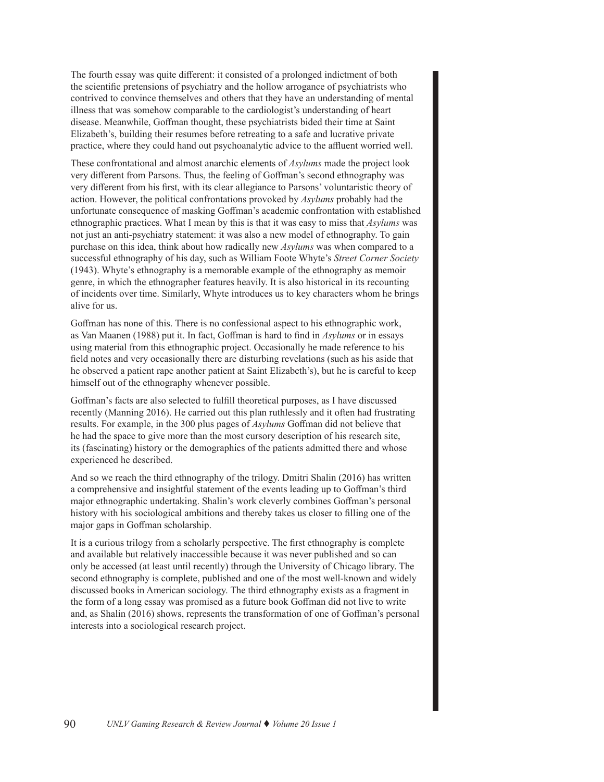The fourth essay was quite different: it consisted of a prolonged indictment of both the scientific pretensions of psychiatry and the hollow arrogance of psychiatrists who contrived to convince themselves and others that they have an understanding of mental illness that was somehow comparable to the cardiologist's understanding of heart disease. Meanwhile, Goffman thought, these psychiatrists bided their time at Saint Elizabeth's, building their resumes before retreating to a safe and lucrative private practice, where they could hand out psychoanalytic advice to the affluent worried well.

These confrontational and almost anarchic elements of *Asylums* made the project look very different from Parsons. Thus, the feeling of Goffman's second ethnography was very different from his first, with its clear allegiance to Parsons' voluntaristic theory of action. However, the political confrontations provoked by *Asylums* probably had the unfortunate consequence of masking Goffman's academic confrontation with established ethnographic practices. What I mean by this is that it was easy to miss that *Asylums* was not just an anti-psychiatry statement: it was also a new model of ethnography. To gain purchase on this idea, think about how radically new *Asylums* was when compared to a successful ethnography of his day, such as William Foote Whyte's *Street Corner Society* (1943). Whyte's ethnography is a memorable example of the ethnography as memoir genre, in which the ethnographer features heavily. It is also historical in its recounting of incidents over time. Similarly, Whyte introduces us to key characters whom he brings alive for us.

Goffman has none of this. There is no confessional aspect to his ethnographic work, as Van Maanen (1988) put it. In fact, Goffman is hard to find in *Asylums* or in essays using material from this ethnographic project. Occasionally he made reference to his field notes and very occasionally there are disturbing revelations (such as his aside that he observed a patient rape another patient at Saint Elizabeth's), but he is careful to keep himself out of the ethnography whenever possible.

Goffman's facts are also selected to fulfill theoretical purposes, as I have discussed recently (Manning 2016). He carried out this plan ruthlessly and it often had frustrating results. For example, in the 300 plus pages of *Asylums* Goffman did not believe that he had the space to give more than the most cursory description of his research site, its (fascinating) history or the demographics of the patients admitted there and whose experienced he described.

And so we reach the third ethnography of the trilogy. Dmitri Shalin (2016) has written a comprehensive and insightful statement of the events leading up to Goffman's third major ethnographic undertaking. Shalin's work cleverly combines Goffman's personal history with his sociological ambitions and thereby takes us closer to filling one of the major gaps in Goffman scholarship.

It is a curious trilogy from a scholarly perspective. The first ethnography is complete and available but relatively inaccessible because it was never published and so can only be accessed (at least until recently) through the University of Chicago library. The second ethnography is complete, published and one of the most well-known and widely discussed books in American sociology. The third ethnography exists as a fragment in the form of a long essay was promised as a future book Goffman did not live to write and, as Shalin (2016) shows, represents the transformation of one of Goffman's personal interests into a sociological research project.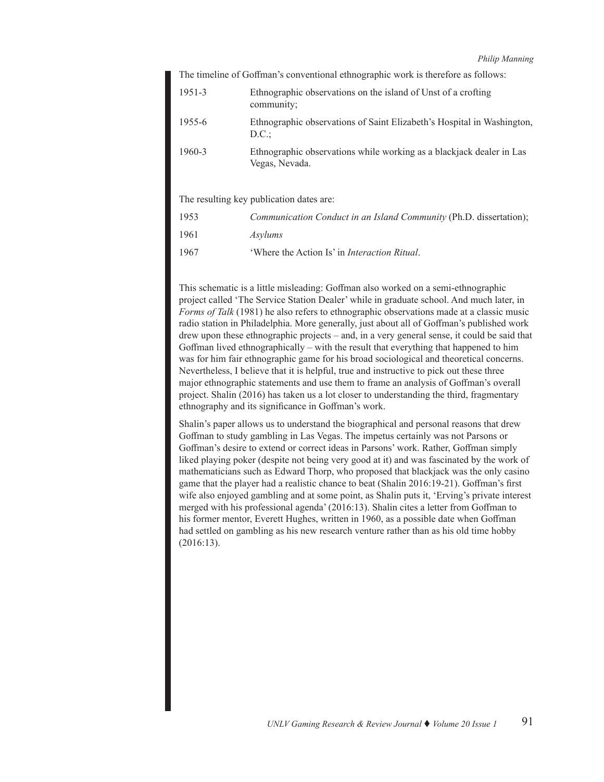The timeline of Goffman's conventional ethnographic work is therefore as follows:

| $1951 - 3$ | Ethnographic observations on the island of Unst of a crofting<br>community;            |
|------------|----------------------------------------------------------------------------------------|
| 1955-6     | Ethnographic observations of Saint Elizabeth's Hospital in Washington,<br>D.C.         |
| 1960-3     | Ethnographic observations while working as a blackjack dealer in Las<br>Vegas, Nevada. |

The resulting key publication dates are:

| 1953 | Communication Conduct in an Island Community (Ph.D. dissertation); |
|------|--------------------------------------------------------------------|
| 1961 | <i>Asylums</i>                                                     |
| 1967 | 'Where the Action Is' in <i>Interaction Ritual</i> .               |

This schematic is a little misleading: Goffman also worked on a semi-ethnographic project called 'The Service Station Dealer' while in graduate school. And much later, in *Forms of Talk* (1981) he also refers to ethnographic observations made at a classic music radio station in Philadelphia. More generally, just about all of Goffman's published work drew upon these ethnographic projects – and, in a very general sense, it could be said that Goffman lived ethnographically – with the result that everything that happened to him was for him fair ethnographic game for his broad sociological and theoretical concerns. Nevertheless, I believe that it is helpful, true and instructive to pick out these three major ethnographic statements and use them to frame an analysis of Goffman's overall project. Shalin (2016) has taken us a lot closer to understanding the third, fragmentary ethnography and its significance in Goffman's work.

Shalin's paper allows us to understand the biographical and personal reasons that drew Goffman to study gambling in Las Vegas. The impetus certainly was not Parsons or Goffman's desire to extend or correct ideas in Parsons' work. Rather, Goffman simply liked playing poker (despite not being very good at it) and was fascinated by the work of mathematicians such as Edward Thorp, who proposed that blackjack was the only casino game that the player had a realistic chance to beat (Shalin 2016:19-21). Goffman's first wife also enjoyed gambling and at some point, as Shalin puts it, 'Erving's private interest merged with his professional agenda' (2016:13). Shalin cites a letter from Goffman to his former mentor, Everett Hughes, written in 1960, as a possible date when Goffman had settled on gambling as his new research venture rather than as his old time hobby (2016:13).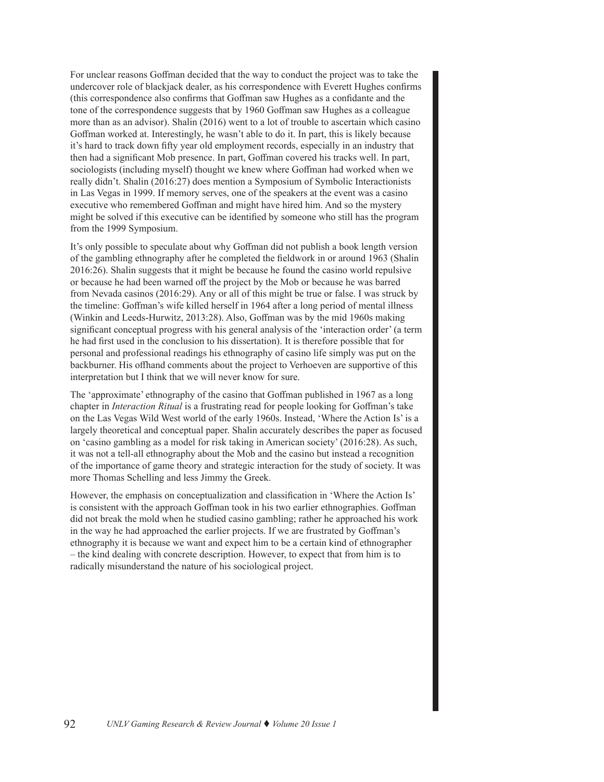For unclear reasons Goffman decided that the way to conduct the project was to take the undercover role of blackjack dealer, as his correspondence with Everett Hughes confirms (this correspondence also confirms that Goffman saw Hughes as a confidante and the tone of the correspondence suggests that by 1960 Goffman saw Hughes as a colleague more than as an advisor). Shalin (2016) went to a lot of trouble to ascertain which casino Goffman worked at. Interestingly, he wasn't able to do it. In part, this is likely because it's hard to track down fifty year old employment records, especially in an industry that then had a significant Mob presence. In part, Goffman covered his tracks well. In part, sociologists (including myself) thought we knew where Goffman had worked when we really didn't. Shalin (2016:27) does mention a Symposium of Symbolic Interactionists in Las Vegas in 1999. If memory serves, one of the speakers at the event was a casino executive who remembered Goffman and might have hired him. And so the mystery might be solved if this executive can be identified by someone who still has the program from the 1999 Symposium.

It's only possible to speculate about why Goffman did not publish a book length version of the gambling ethnography after he completed the fieldwork in or around 1963 (Shalin 2016:26). Shalin suggests that it might be because he found the casino world repulsive or because he had been warned off the project by the Mob or because he was barred from Nevada casinos (2016:29). Any or all of this might be true or false. I was struck by the timeline: Goffman's wife killed herself in 1964 after a long period of mental illness (Winkin and Leeds-Hurwitz, 2013:28). Also, Goffman was by the mid 1960s making significant conceptual progress with his general analysis of the 'interaction order' (a term he had first used in the conclusion to his dissertation). It is therefore possible that for personal and professional readings his ethnography of casino life simply was put on the backburner. His offhand comments about the project to Verhoeven are supportive of this interpretation but I think that we will never know for sure.

The 'approximate' ethnography of the casino that Goffman published in 1967 as a long chapter in *Interaction Ritual* is a frustrating read for people looking for Goffman's take on the Las Vegas Wild West world of the early 1960s. Instead, 'Where the Action Is' is a largely theoretical and conceptual paper. Shalin accurately describes the paper as focused on 'casino gambling as a model for risk taking in American society' (2016:28). As such, it was not a tell-all ethnography about the Mob and the casino but instead a recognition of the importance of game theory and strategic interaction for the study of society. It was more Thomas Schelling and less Jimmy the Greek.

However, the emphasis on conceptualization and classification in 'Where the Action Is' is consistent with the approach Goffman took in his two earlier ethnographies. Goffman did not break the mold when he studied casino gambling; rather he approached his work in the way he had approached the earlier projects. If we are frustrated by Goffman's ethnography it is because we want and expect him to be a certain kind of ethnographer – the kind dealing with concrete description. However, to expect that from him is to radically misunderstand the nature of his sociological project.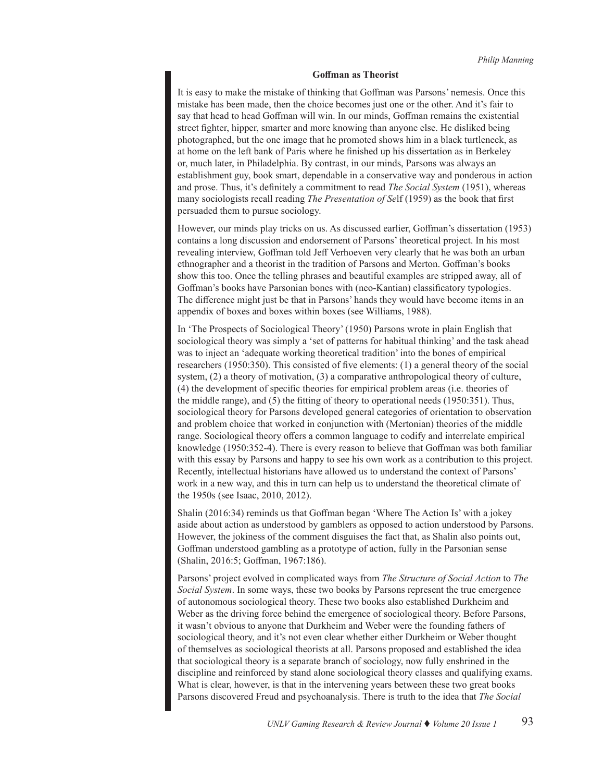#### **Goffman as Theorist**

It is easy to make the mistake of thinking that Goffman was Parsons' nemesis. Once this mistake has been made, then the choice becomes just one or the other. And it's fair to say that head to head Goffman will win. In our minds, Goffman remains the existential street fighter, hipper, smarter and more knowing than anyone else. He disliked being photographed, but the one image that he promoted shows him in a black turtleneck, as at home on the left bank of Paris where he finished up his dissertation as in Berkeley or, much later, in Philadelphia. By contrast, in our minds, Parsons was always an establishment guy, book smart, dependable in a conservative way and ponderous in action and prose. Thus, it's definitely a commitment to read *The Social System* (1951), whereas many sociologists recall reading *The Presentation of Se*lf (1959) as the book that first persuaded them to pursue sociology.

However, our minds play tricks on us. As discussed earlier, Goffman's dissertation (1953) contains a long discussion and endorsement of Parsons' theoretical project. In his most revealing interview, Goffman told Jeff Verhoeven very clearly that he was both an urban ethnographer and a theorist in the tradition of Parsons and Merton. Goffman's books show this too. Once the telling phrases and beautiful examples are stripped away, all of Goffman's books have Parsonian bones with (neo-Kantian) classificatory typologies. The difference might just be that in Parsons' hands they would have become items in an appendix of boxes and boxes within boxes (see Williams, 1988).

In 'The Prospects of Sociological Theory' (1950) Parsons wrote in plain English that sociological theory was simply a 'set of patterns for habitual thinking' and the task ahead was to inject an 'adequate working theoretical tradition' into the bones of empirical researchers (1950:350). This consisted of five elements: (1) a general theory of the social system, (2) a theory of motivation, (3) a comparative anthropological theory of culture, (4) the development of specific theories for empirical problem areas (i.e. theories of the middle range), and (5) the fitting of theory to operational needs (1950:351). Thus, sociological theory for Parsons developed general categories of orientation to observation and problem choice that worked in conjunction with (Mertonian) theories of the middle range. Sociological theory offers a common language to codify and interrelate empirical knowledge (1950:352-4). There is every reason to believe that Goffman was both familiar with this essay by Parsons and happy to see his own work as a contribution to this project. Recently, intellectual historians have allowed us to understand the context of Parsons' work in a new way, and this in turn can help us to understand the theoretical climate of the 1950s (see Isaac, 2010, 2012).

Shalin (2016:34) reminds us that Goffman began 'Where The Action Is' with a jokey aside about action as understood by gamblers as opposed to action understood by Parsons. However, the jokiness of the comment disguises the fact that, as Shalin also points out, Goffman understood gambling as a prototype of action, fully in the Parsonian sense (Shalin, 2016:5; Goffman, 1967:186).

Parsons' project evolved in complicated ways from *The Structure of Social Action* to *The Social System*. In some ways, these two books by Parsons represent the true emergence of autonomous sociological theory. These two books also established Durkheim and Weber as the driving force behind the emergence of sociological theory. Before Parsons, it wasn't obvious to anyone that Durkheim and Weber were the founding fathers of sociological theory, and it's not even clear whether either Durkheim or Weber thought of themselves as sociological theorists at all. Parsons proposed and established the idea that sociological theory is a separate branch of sociology, now fully enshrined in the discipline and reinforced by stand alone sociological theory classes and qualifying exams. What is clear, however, is that in the intervening years between these two great books Parsons discovered Freud and psychoanalysis. There is truth to the idea that *The Social*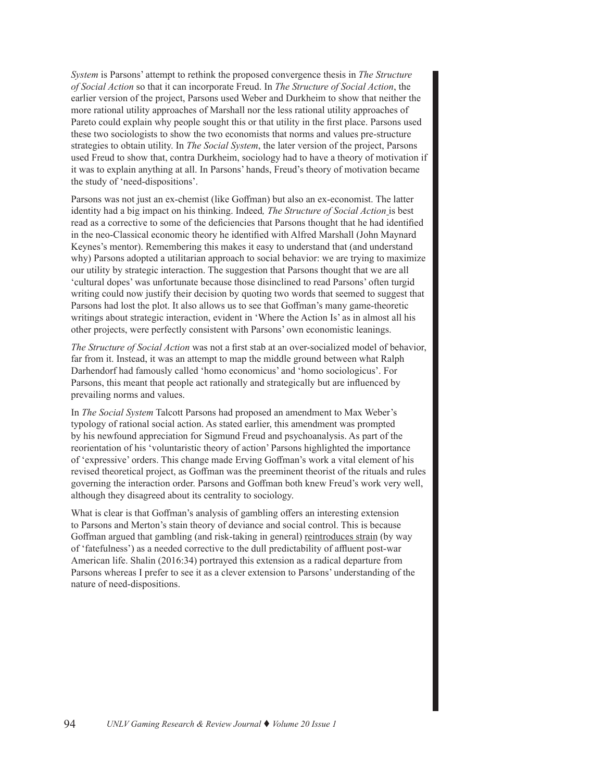*System* is Parsons' attempt to rethink the proposed convergence thesis in *The Structure of Social Action* so that it can incorporate Freud. In *The Structure of Social Action*, the earlier version of the project, Parsons used Weber and Durkheim to show that neither the more rational utility approaches of Marshall nor the less rational utility approaches of Pareto could explain why people sought this or that utility in the first place. Parsons used these two sociologists to show the two economists that norms and values pre-structure strategies to obtain utility. In *The Social System*, the later version of the project, Parsons used Freud to show that, contra Durkheim, sociology had to have a theory of motivation if it was to explain anything at all. In Parsons' hands, Freud's theory of motivation became the study of 'need-dispositions'.

Parsons was not just an ex-chemist (like Goffman) but also an ex-economist. The latter identity had a big impact on his thinking. Indeed*, The Structure of Social Action* is best read as a corrective to some of the deficiencies that Parsons thought that he had identified in the neo-Classical economic theory he identified with Alfred Marshall (John Maynard Keynes's mentor). Remembering this makes it easy to understand that (and understand why) Parsons adopted a utilitarian approach to social behavior: we are trying to maximize our utility by strategic interaction. The suggestion that Parsons thought that we are all 'cultural dopes' was unfortunate because those disinclined to read Parsons' often turgid writing could now justify their decision by quoting two words that seemed to suggest that Parsons had lost the plot. It also allows us to see that Goffman's many game-theoretic writings about strategic interaction, evident in 'Where the Action Is' as in almost all his other projects, were perfectly consistent with Parsons' own economistic leanings.

*The Structure of Social Action* was not a first stab at an over-socialized model of behavior, far from it. Instead, it was an attempt to map the middle ground between what Ralph Darhendorf had famously called 'homo economicus' and 'homo sociologicus'. For Parsons, this meant that people act rationally and strategically but are influenced by prevailing norms and values.

In *The Social System* Talcott Parsons had proposed an amendment to Max Weber's typology of rational social action. As stated earlier, this amendment was prompted by his newfound appreciation for Sigmund Freud and psychoanalysis. As part of the reorientation of his 'voluntaristic theory of action' Parsons highlighted the importance of 'expressive' orders. This change made Erving Goffman's work a vital element of his revised theoretical project, as Goffman was the preeminent theorist of the rituals and rules governing the interaction order. Parsons and Goffman both knew Freud's work very well, although they disagreed about its centrality to sociology.

What is clear is that Goffman's analysis of gambling offers an interesting extension to Parsons and Merton's stain theory of deviance and social control. This is because Goffman argued that gambling (and risk-taking in general) reintroduces strain (by way of 'fatefulness') as a needed corrective to the dull predictability of affluent post-war American life. Shalin (2016:34) portrayed this extension as a radical departure from Parsons whereas I prefer to see it as a clever extension to Parsons' understanding of the nature of need-dispositions.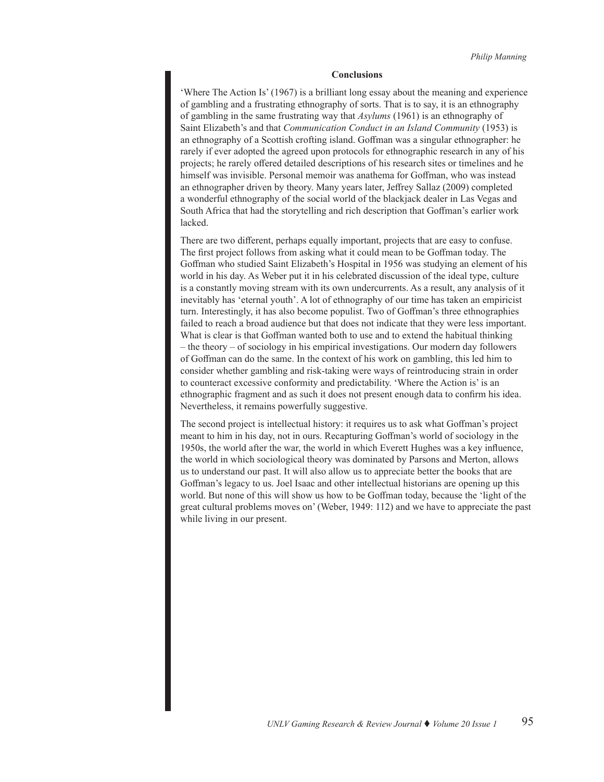#### **Conclusions**

'Where The Action Is' (1967) is a brilliant long essay about the meaning and experience of gambling and a frustrating ethnography of sorts. That is to say, it is an ethnography of gambling in the same frustrating way that *Asylums* (1961) is an ethnography of Saint Elizabeth's and that *Communication Conduct in an Island Community* (1953) is an ethnography of a Scottish crofting island. Goffman was a singular ethnographer: he rarely if ever adopted the agreed upon protocols for ethnographic research in any of his projects; he rarely offered detailed descriptions of his research sites or timelines and he himself was invisible. Personal memoir was anathema for Goffman, who was instead an ethnographer driven by theory. Many years later, Jeffrey Sallaz (2009) completed a wonderful ethnography of the social world of the blackjack dealer in Las Vegas and South Africa that had the storytelling and rich description that Goffman's earlier work lacked.

There are two different, perhaps equally important, projects that are easy to confuse. The first project follows from asking what it could mean to be Goffman today. The Goffman who studied Saint Elizabeth's Hospital in 1956 was studying an element of his world in his day. As Weber put it in his celebrated discussion of the ideal type, culture is a constantly moving stream with its own undercurrents. As a result, any analysis of it inevitably has 'eternal youth'. A lot of ethnography of our time has taken an empiricist turn. Interestingly, it has also become populist. Two of Goffman's three ethnographies failed to reach a broad audience but that does not indicate that they were less important. What is clear is that Goffman wanted both to use and to extend the habitual thinking – the theory – of sociology in his empirical investigations. Our modern day followers of Goffman can do the same. In the context of his work on gambling, this led him to consider whether gambling and risk-taking were ways of reintroducing strain in order to counteract excessive conformity and predictability. 'Where the Action is' is an ethnographic fragment and as such it does not present enough data to confirm his idea. Nevertheless, it remains powerfully suggestive.

The second project is intellectual history: it requires us to ask what Goffman's project meant to him in his day, not in ours. Recapturing Goffman's world of sociology in the 1950s, the world after the war, the world in which Everett Hughes was a key influence, the world in which sociological theory was dominated by Parsons and Merton, allows us to understand our past. It will also allow us to appreciate better the books that are Goffman's legacy to us. Joel Isaac and other intellectual historians are opening up this world. But none of this will show us how to be Goffman today, because the 'light of the great cultural problems moves on' (Weber, 1949: 112) and we have to appreciate the past while living in our present.